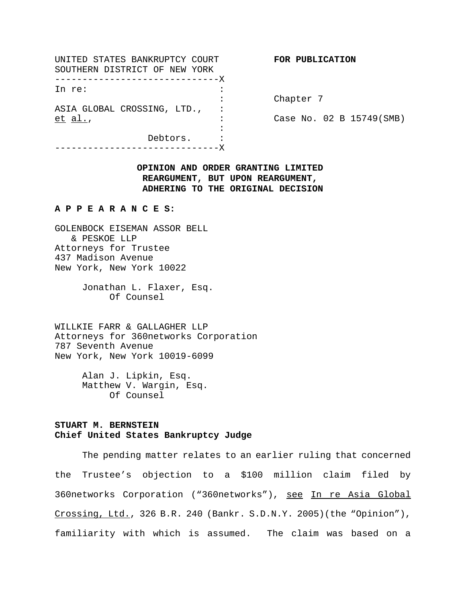UNITED STATES BANKRUPTCY COURT **FOR PUBLICATION** SOUTHERN DISTRICT OF NEW YORK ------------------------------X In re:  $\qquad \qquad :$ ASIA GLOBAL CROSSING, LTD., : et al., : Case No. 02 B 15749(SMB) : Debtors. : ------------------------------X

: Chapter 7

# **OPINION AND ORDER GRANTING LIMITED REARGUMENT, BUT UPON REARGUMENT, ADHERING TO THE ORIGINAL DECISION**

#### **A P P E A R A N C E S:**

GOLENBOCK EISEMAN ASSOR BELL & PESKOE LLP Attorneys for Trustee 437 Madison Avenue New York, New York 10022

> Jonathan L. Flaxer, Esq. Of Counsel

WILLKIE FARR & GALLAGHER LLP Attorneys for 360networks Corporation 787 Seventh Avenue New York, New York 10019-6099

> Alan J. Lipkin, Esq. Matthew V. Wargin, Esq. Of Counsel

# **STUART M. BERNSTEIN Chief United States Bankruptcy Judge**

The pending matter relates to an earlier ruling that concerned the Trustee's objection to a \$100 million claim filed by 360networks Corporation ("360networks"), see In re Asia Global Crossing, Ltd., 326 B.R. 240 (Bankr. S.D.N.Y. 2005)(the "Opinion"), familiarity with which is assumed. The claim was based on a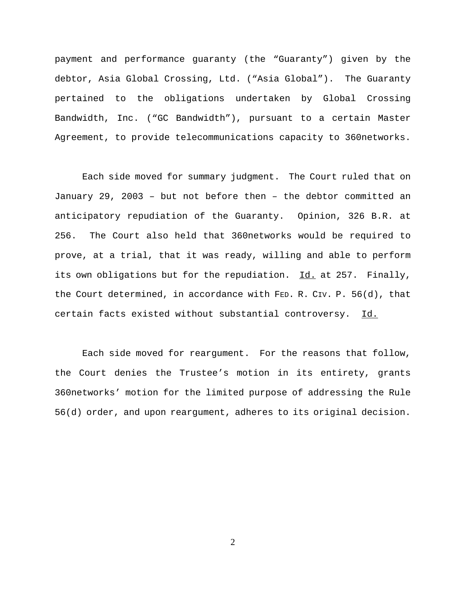payment and performance guaranty (the "Guaranty") given by the debtor, Asia Global Crossing, Ltd. ("Asia Global"). The Guaranty pertained to the obligations undertaken by Global Crossing Bandwidth, Inc. ("GC Bandwidth"), pursuant to a certain Master Agreement, to provide telecommunications capacity to 360networks.

Each side moved for summary judgment. The Court ruled that on January 29, 2003 – but not before then – the debtor committed an anticipatory repudiation of the Guaranty. Opinion, 326 B.R. at 256. The Court also held that 360networks would be required to prove, at a trial, that it was ready, willing and able to perform its own obligations but for the repudiation. Id. at 257. Finally, the Court determined, in accordance with FED. R. CIV. P. 56(d), that certain facts existed without substantial controversy. Id.

Each side moved for reargument. For the reasons that follow, the Court denies the Trustee's motion in its entirety, grants 360networks' motion for the limited purpose of addressing the Rule 56(d) order, and upon reargument, adheres to its original decision.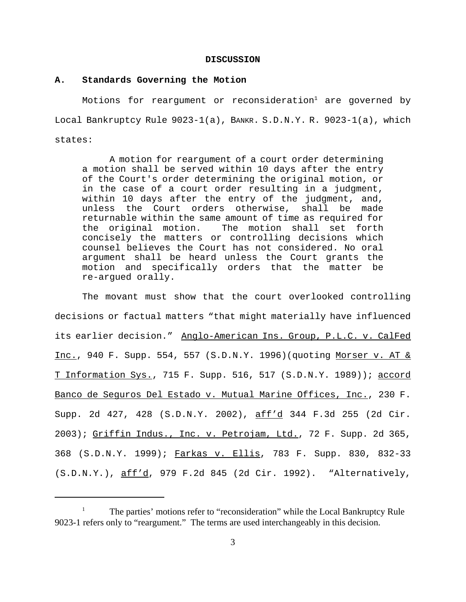#### **DISCUSSION**

#### **A. Standards Governing the Motion**

Motions for reargument or reconsideration $^{\rm l}$  are governed by Local Bankruptcy Rule 9023-1(a), BANKR. S.D.N.Y. R. 9023-1(a), which states:

A motion for reargument of a court order determining a motion shall be served within 10 days after the entry of the Court's order determining the original motion, or in the case of a court order resulting in a judgment, within 10 days after the entry of the judgment, and, unless the Court orders otherwise, shall be made returnable within the same amount of time as required for the original motion. The motion shall set forth concisely the matters or controlling decisions which counsel believes the Court has not considered. No oral argument shall be heard unless the Court grants the motion and specifically orders that the matter be re-argued orally.

The movant must show that the court overlooked controlling decisions or factual matters "that might materially have influenced its earlier decision." Anglo-American Ins. Group, P.L.C. v. CalFed Inc., 940 F. Supp. 554, 557 (S.D.N.Y. 1996)(quoting Morser v. AT & T Information Sys., 715 F. Supp. 516, 517 (S.D.N.Y. 1989)); accord Banco de Seguros Del Estado v. Mutual Marine Offices, Inc., 230 F. Supp. 2d 427, 428 (S.D.N.Y. 2002), aff'd 344 F.3d 255 (2d Cir. 2003); Griffin Indus., Inc. v. Petrojam, Ltd., 72 F. Supp. 2d 365, 368 (S.D.N.Y. 1999); Farkas v. Ellis, 783 F. Supp. 830, 832-33 (S.D.N.Y.), aff'd, 979 F.2d 845 (2d Cir. 1992). "Alternatively,

The parties' motions refer to "reconsideration" while the Local Bankruptcy Rule 9023-1 refers only to "reargument." The terms are used interchangeably in this decision.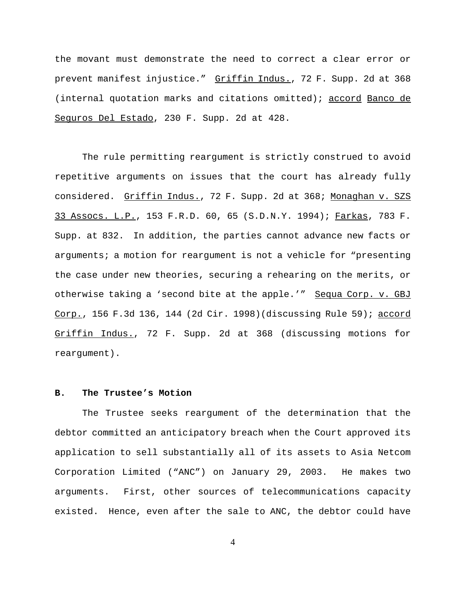the movant must demonstrate the need to correct a clear error or prevent manifest injustice." Griffin Indus., 72 F. Supp. 2d at 368 (internal quotation marks and citations omitted); accord Banco de Seguros Del Estado, 230 F. Supp. 2d at 428.

The rule permitting reargument is strictly construed to avoid repetitive arguments on issues that the court has already fully considered. Griffin Indus., 72 F. Supp. 2d at 368; Monaghan v. SZS 33 Assocs. L.P., 153 F.R.D. 60, 65 (S.D.N.Y. 1994); Farkas, 783 F. Supp. at 832. In addition, the parties cannot advance new facts or arguments; a motion for reargument is not a vehicle for "presenting the case under new theories, securing a rehearing on the merits, or otherwise taking a 'second bite at the apple.'" Sequa Corp. v. GBJ Corp., 156 F.3d 136, 144 (2d Cir. 1998)(discussing Rule 59); accord Griffin Indus., 72 F. Supp. 2d at 368 (discussing motions for reargument).

## **B. The Trustee's Motion**

The Trustee seeks reargument of the determination that the debtor committed an anticipatory breach when the Court approved its application to sell substantially all of its assets to Asia Netcom Corporation Limited ("ANC") on January 29, 2003. He makes two arguments. First, other sources of telecommunications capacity existed. Hence, even after the sale to ANC, the debtor could have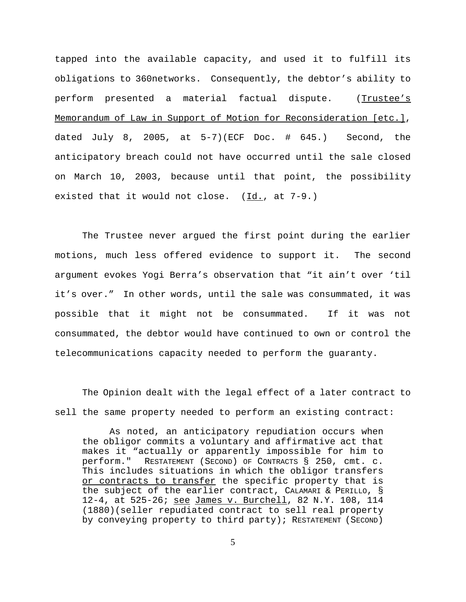tapped into the available capacity, and used it to fulfill its obligations to 360networks. Consequently, the debtor's ability to perform presented a material factual dispute. (Trustee's Memorandum of Law in Support of Motion for Reconsideration [etc.], dated July 8, 2005, at  $5-7$ )(ECF Doc. # 645.) Second, the anticipatory breach could not have occurred until the sale closed on March 10, 2003, because until that point, the possibility existed that it would not close.  $(\underline{Id.}, \underline{at 7-9.})$ 

The Trustee never argued the first point during the earlier motions, much less offered evidence to support it. The second argument evokes Yogi Berra's observation that "it ain't over 'til it's over." In other words, until the sale was consummated, it was possible that it might not be consummated. If it was not consummated, the debtor would have continued to own or control the telecommunications capacity needed to perform the guaranty.

The Opinion dealt with the legal effect of a later contract to sell the same property needed to perform an existing contract:

As noted, an anticipatory repudiation occurs when the obligor commits a voluntary and affirmative act that makes it "actually or apparently impossible for him to perform." RESTATEMENT (SECOND) OF CONTRACTS § 250, cmt. c. This includes situations in which the obligor transfers or contracts to transfer the specific property that is the subject of the earlier contract, CALAMARI & PERILLO, § 12-4, at 525-26; see James v. Burchell, 82 N.Y. 108, 114 (1880)(seller repudiated contract to sell real property by conveying property to third party); RESTATEMENT (SECOND)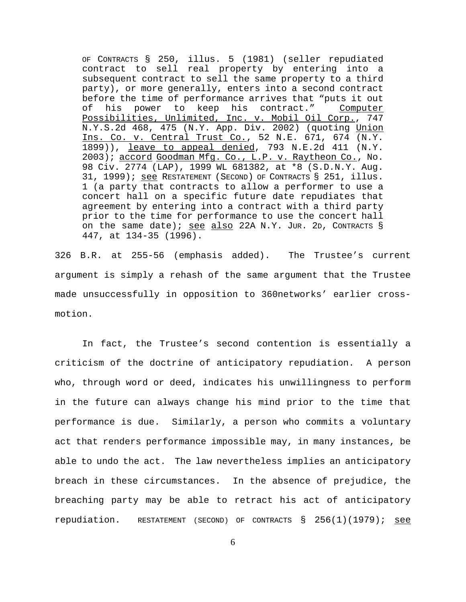OF CONTRACTS § 250, illus. 5 (1981) (seller repudiated contract to sell real property by entering into a subsequent contract to sell the same property to a third party), or more generally, enters into a second contract before the time of performance arrives that "puts it out of his power to keep his contract." Computer Possibilities, Unlimited, Inc. v. Mobil Oil Corp., 747 N.Y.S.2d 468, 475 (N.Y. App. Div. 2002) (quoting Union Ins. Co. v. Central Trust Co., 52 N.E. 671, 674 (N.Y. 1899)), leave to appeal denied, 793 N.E.2d 411 (N.Y. 2003); accord Goodman Mfg. Co., L.P. v. Raytheon Co., No. 98 Civ. 2774 (LAP), 1999 WL 681382, at \*8 (S.D.N.Y. Aug. 31, 1999); see RESTATEMENT (SECOND) OF CONTRACTS § 251, illus. 1 (a party that contracts to allow a performer to use a concert hall on a specific future date repudiates that agreement by entering into a contract with a third party prior to the time for performance to use the concert hall on the same date); see also 22A N.Y. JUR. 2D, CONTRACTS  $\S$ 447, at 134-35 (1996).

326 B.R. at 255-56 (emphasis added). The Trustee's current argument is simply a rehash of the same argument that the Trustee made unsuccessfully in opposition to 360networks' earlier crossmotion.

In fact, the Trustee's second contention is essentially a criticism of the doctrine of anticipatory repudiation. A person who, through word or deed, indicates his unwillingness to perform in the future can always change his mind prior to the time that performance is due. Similarly, a person who commits a voluntary act that renders performance impossible may, in many instances, be able to undo the act. The law nevertheless implies an anticipatory breach in these circumstances. In the absence of prejudice, the breaching party may be able to retract his act of anticipatory repudiation. RESTATEMENT (SECOND) OF CONTRACTS  $\S$  256(1)(1979); see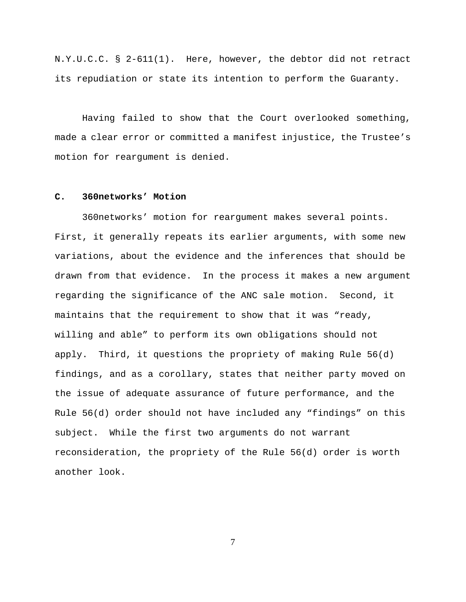N.Y.U.C.C. § 2-611(1). Here, however, the debtor did not retract its repudiation or state its intention to perform the Guaranty.

Having failed to show that the Court overlooked something, made a clear error or committed a manifest injustice, the Trustee's motion for reargument is denied.

## **C. 360networks' Motion**

360networks' motion for reargument makes several points. First, it generally repeats its earlier arguments, with some new variations, about the evidence and the inferences that should be drawn from that evidence. In the process it makes a new argument regarding the significance of the ANC sale motion. Second, it maintains that the requirement to show that it was "ready, willing and able" to perform its own obligations should not apply. Third, it questions the propriety of making Rule 56(d) findings, and as a corollary, states that neither party moved on the issue of adequate assurance of future performance, and the Rule 56(d) order should not have included any "findings" on this subject. While the first two arguments do not warrant reconsideration, the propriety of the Rule 56(d) order is worth another look.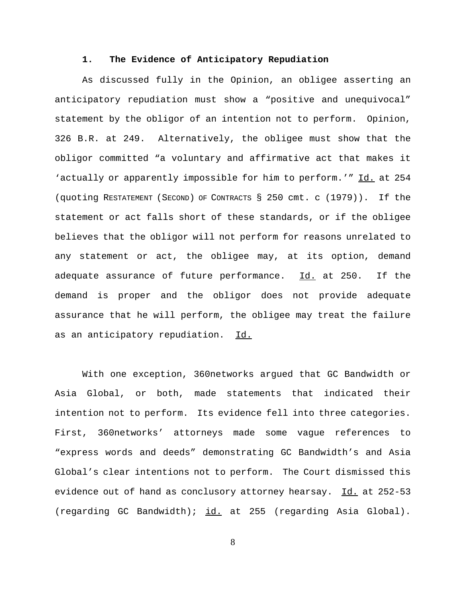### **1. The Evidence of Anticipatory Repudiation**

As discussed fully in the Opinion, an obligee asserting an anticipatory repudiation must show a "positive and unequivocal" statement by the obligor of an intention not to perform. Opinion, 326 B.R. at 249. Alternatively, the obligee must show that the obligor committed "a voluntary and affirmative act that makes it 'actually or apparently impossible for him to perform.'" Id. at 254 (quoting RESTATEMENT (SECOND) OF CONTRACTS § 250 cmt. c (1979)). If the statement or act falls short of these standards, or if the obligee believes that the obligor will not perform for reasons unrelated to any statement or act, the obligee may, at its option, demand adequate assurance of future performance.  $Id.$  at 250. If the demand is proper and the obligor does not provide adequate assurance that he will perform, the obligee may treat the failure as an anticipatory repudiation. Id.

With one exception, 360networks argued that GC Bandwidth or Asia Global, or both, made statements that indicated their intention not to perform. Its evidence fell into three categories. First, 360networks' attorneys made some vague references to "express words and deeds" demonstrating GC Bandwidth's and Asia Global's clear intentions not to perform. The Court dismissed this evidence out of hand as conclusory attorney hearsay. Id. at 252-53 (regarding GC Bandwidth); id. at 255 (regarding Asia Global).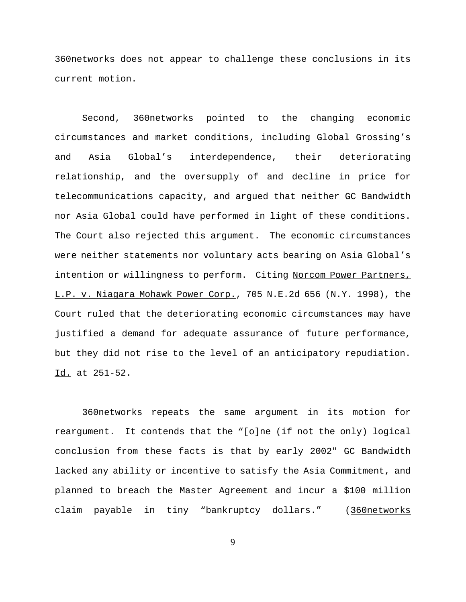360networks does not appear to challenge these conclusions in its current motion.

Second, 360networks pointed to the changing economic circumstances and market conditions, including Global Grossing's and Asia Global's interdependence, their deteriorating relationship, and the oversupply of and decline in price for telecommunications capacity, and argued that neither GC Bandwidth nor Asia Global could have performed in light of these conditions. The Court also rejected this argument. The economic circumstances were neither statements nor voluntary acts bearing on Asia Global's intention or willingness to perform. Citing Norcom Power Partners, L.P. v. Niagara Mohawk Power Corp., 705 N.E.2d 656 (N.Y. 1998), the Court ruled that the deteriorating economic circumstances may have justified a demand for adequate assurance of future performance, but they did not rise to the level of an anticipatory repudiation. Id. at 251-52.

360networks repeats the same argument in its motion for reargument. It contends that the "[o]ne (if not the only) logical conclusion from these facts is that by early 2002" GC Bandwidth lacked any ability or incentive to satisfy the Asia Commitment, and planned to breach the Master Agreement and incur a \$100 million claim payable in tiny "bankruptcy dollars." (360networks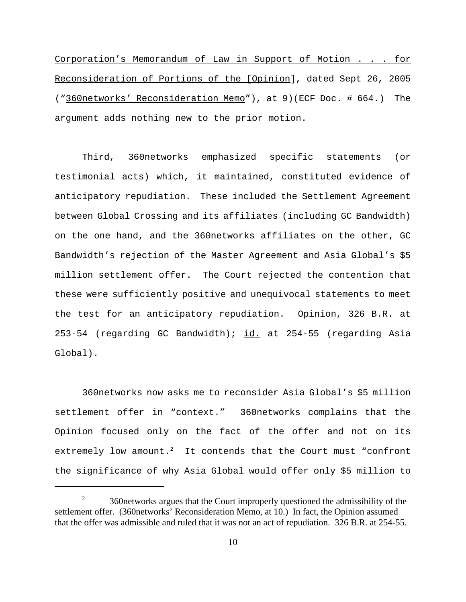Corporation's Memorandum of Law in Support of Motion . . . for Reconsideration of Portions of the [Opinion], dated Sept 26, 2005 ("360networks' Reconsideration Memo"), at 9)(ECF Doc. # 664.) The argument adds nothing new to the prior motion.

Third, 360networks emphasized specific statements (or testimonial acts) which, it maintained, constituted evidence of anticipatory repudiation. These included the Settlement Agreement between Global Crossing and its affiliates (including GC Bandwidth) on the one hand, and the 360networks affiliates on the other, GC Bandwidth's rejection of the Master Agreement and Asia Global's \$5 million settlement offer. The Court rejected the contention that these were sufficiently positive and unequivocal statements to meet the test for an anticipatory repudiation. Opinion, 326 B.R. at 253-54 (regarding GC Bandwidth); id. at 254-55 (regarding Asia Global).

360networks now asks me to reconsider Asia Global's \$5 million settlement offer in "context." 360networks complains that the Opinion focused only on the fact of the offer and not on its extremely low amount.<sup>2</sup> It contends that the Court must "confront the significance of why Asia Global would offer only \$5 million to

<sup>&</sup>lt;sup>2</sup> 360networks argues that the Court improperly questioned the admissibility of the settlement offer. (360networks' Reconsideration Memo, at 10.) In fact, the Opinion assumed that the offer was admissible and ruled that it was not an act of repudiation. 326 B.R. at 254-55.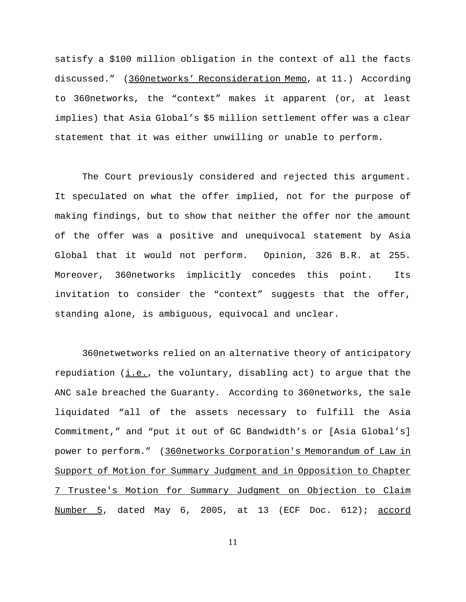satisfy a \$100 million obligation in the context of all the facts discussed." (360networks' Reconsideration Memo, at 11.) According to 360networks, the "context" makes it apparent (or, at least implies) that Asia Global's \$5 million settlement offer was a clear statement that it was either unwilling or unable to perform.

The Court previously considered and rejected this argument. It speculated on what the offer implied, not for the purpose of making findings, but to show that neither the offer nor the amount of the offer was a positive and unequivocal statement by Asia Global that it would not perform. Opinion, 326 B.R. at 255. Moreover, 360networks implicitly concedes this point. Its invitation to consider the "context" suggests that the offer, standing alone, is ambiguous, equivocal and unclear.

360netwetworks relied on an alternative theory of anticipatory repudiation  $(i.e.,$  the voluntary, disabling act) to argue that the ANC sale breached the Guaranty. According to 360networks, the sale liquidated "all of the assets necessary to fulfill the Asia Commitment," and "put it out of GC Bandwidth's or [Asia Global's] power to perform." (360networks Corporation's Memorandum of Law in Support of Motion for Summary Judgment and in Opposition to Chapter 7 Trustee's Motion for Summary Judgment on Objection to Claim Number 5, dated May 6, 2005, at 13 (ECF Doc. 612); accord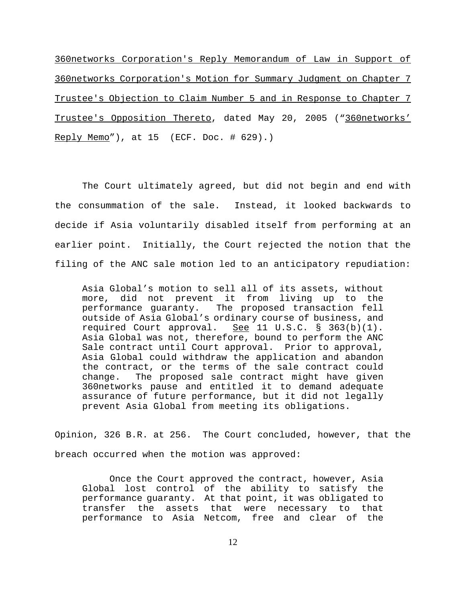360networks Corporation's Reply Memorandum of Law in Support of 360networks Corporation's Motion for Summary Judgment on Chapter 7 Trustee's Objection to Claim Number 5 and in Response to Chapter 7 Trustee's Opposition Thereto, dated May 20, 2005 ("360networks' Reply Memo"), at 15 (ECF. Doc. # 629).)

The Court ultimately agreed, but did not begin and end with the consummation of the sale. Instead, it looked backwards to decide if Asia voluntarily disabled itself from performing at an earlier point. Initially, the Court rejected the notion that the filing of the ANC sale motion led to an anticipatory repudiation:

Asia Global's motion to sell all of its assets, without more, did not prevent it from living up to the performance guaranty. The proposed transaction fell outside of Asia Global's ordinary course of business, and required Court approval. See 11 U.S.C.  $\frac{1}{2}$  363(b)(1). Asia Global was not, therefore, bound to perform the ANC Sale contract until Court approval. Prior to approval, Asia Global could withdraw the application and abandon the contract, or the terms of the sale contract could change. The proposed sale contract might have given 360networks pause and entitled it to demand adequate assurance of future performance, but it did not legally prevent Asia Global from meeting its obligations.

Opinion, 326 B.R. at 256. The Court concluded, however, that the breach occurred when the motion was approved:

Once the Court approved the contract, however, Asia Global lost control of the ability to satisfy the performance guaranty. At that point, it was obligated to transfer the assets that were necessary to that performance to Asia Netcom, free and clear of the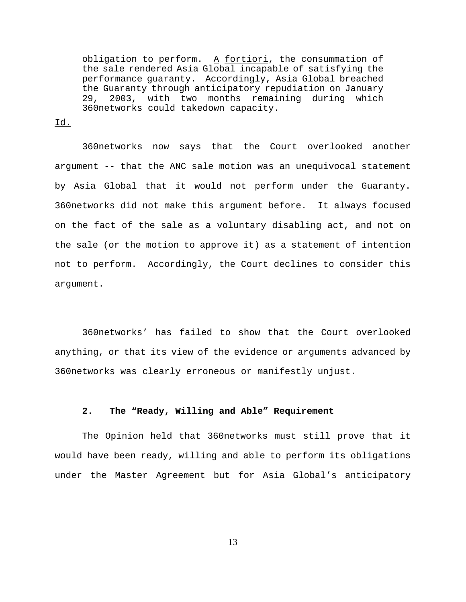obligation to perform. A fortiori, the consummation of the sale rendered Asia Global incapable of satisfying the performance guaranty. Accordingly, Asia Global breached the Guaranty through anticipatory repudiation on January 29, 2003, with two months remaining during which 360networks could takedown capacity.

Id.

360networks now says that the Court overlooked another argument -- that the ANC sale motion was an unequivocal statement by Asia Global that it would not perform under the Guaranty. 360networks did not make this argument before. It always focused on the fact of the sale as a voluntary disabling act, and not on the sale (or the motion to approve it) as a statement of intention not to perform. Accordingly, the Court declines to consider this argument.

360networks' has failed to show that the Court overlooked anything, or that its view of the evidence or arguments advanced by 360networks was clearly erroneous or manifestly unjust.

#### **2. The "Ready, Willing and Able" Requirement**

The Opinion held that 360networks must still prove that it would have been ready, willing and able to perform its obligations under the Master Agreement but for Asia Global's anticipatory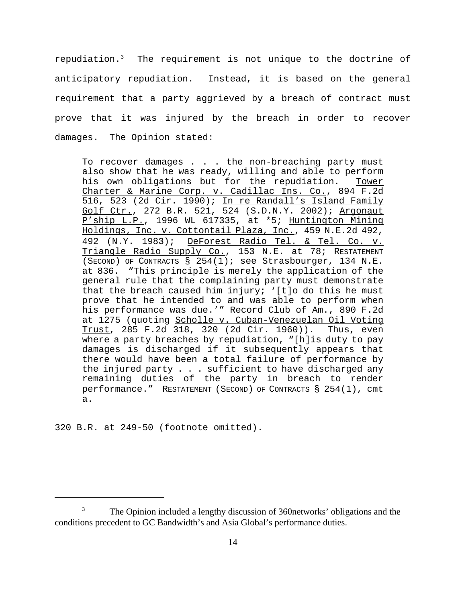repudiation.<sup>3</sup> The requirement is not unique to the doctrine of anticipatory repudiation. Instead, it is based on the general requirement that a party aggrieved by a breach of contract must prove that it was injured by the breach in order to recover damages. The Opinion stated:

To recover damages . . . the non-breaching party must also show that he was ready, willing and able to perform his own obligations but for the repudiation. Tower Charter & Marine Corp. v. Cadillac Ins. Co., 894 F.2d 516, 523 (2d Cir. 1990); In re Randall's Island Family Golf Ctr., 272 B.R. 521, 524 (S.D.N.Y. 2002); Argonaut P'ship L.P., 1996 WL 617335, at \*5; Huntington Mining Holdings, Inc. v. Cottontail Plaza, Inc., 459 N.E.2d 492, 492 (N.Y. 1983); DeForest Radio Tel. & Tel. Co. v. Triangle Radio Supply Co., 153 N.E. at 78; RESTATEMENT (SECOND) OF CONTRACTS § 254(1); see Strasbourger, 134 N.E. at 836. "This principle is merely the application of the general rule that the complaining party must demonstrate that the breach caused him injury; '[t]o do this he must prove that he intended to and was able to perform when his performance was due.'" Record Club of Am., 890 F.2d at 1275 (quoting Scholle v. Cuban-Venezuelan Oil Voting Trust, 285 F.2d 318, 320 (2d Cir. 1960)). Thus, even where a party breaches by repudiation, "[h]is duty to pay damages is discharged if it subsequently appears that there would have been a total failure of performance by the injured party . . . sufficient to have discharged any remaining duties of the party in breach to render performance."RESTATEMENT (SECOND) OF CONTRACTS § 254(1), cmt a.

320 B.R. at 249-50 (footnote omitted).

<sup>&</sup>lt;sup>3</sup> The Opinion included a lengthy discussion of 360 networks' obligations and the conditions precedent to GC Bandwidth's and Asia Global's performance duties.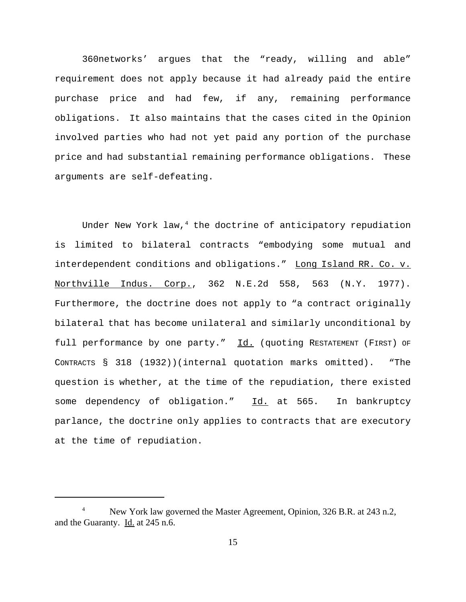360networks' argues that the "ready, willing and able" requirement does not apply because it had already paid the entire purchase price and had few, if any, remaining performance obligations. It also maintains that the cases cited in the Opinion involved parties who had not yet paid any portion of the purchase price and had substantial remaining performance obligations. These arguments are self-defeating.

Under New York law, $4$  the doctrine of anticipatory repudiation is limited to bilateral contracts "embodying some mutual and interdependent conditions and obligations." Long Island RR. Co. v. Northville Indus. Corp., 362 N.E.2d 558, 563 (N.Y. 1977). Furthermore, the doctrine does not apply to "a contract originally bilateral that has become unilateral and similarly unconditional by full performance by one party." Id. (quoting RESTATEMENT (FIRST) OF CONTRACTS § 318 (1932))(internal quotation marks omitted). "The question is whether, at the time of the repudiation, there existed some dependency of obligation." Id. at 565. In bankruptcy parlance, the doctrine only applies to contracts that are executory at the time of repudiation.

New York law governed the Master Agreement, Opinion, 326 B.R. at 243 n.2, and the Guaranty. Id. at 245 n.6.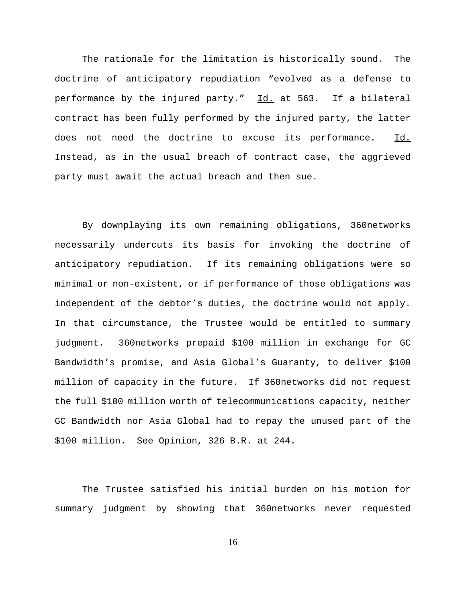The rationale for the limitation is historically sound. The doctrine of anticipatory repudiation "evolved as a defense to performance by the injured party." Id. at 563. If a bilateral contract has been fully performed by the injured party, the latter does not need the doctrine to excuse its performance. Id. Instead, as in the usual breach of contract case, the aggrieved party must await the actual breach and then sue.

By downplaying its own remaining obligations, 360networks necessarily undercuts its basis for invoking the doctrine of anticipatory repudiation. If its remaining obligations were so minimal or non-existent, or if performance of those obligations was independent of the debtor's duties, the doctrine would not apply. In that circumstance, the Trustee would be entitled to summary judgment. 360networks prepaid \$100 million in exchange for GC Bandwidth's promise, and Asia Global's Guaranty, to deliver \$100 million of capacity in the future. If 360networks did not request the full \$100 million worth of telecommunications capacity, neither GC Bandwidth nor Asia Global had to repay the unused part of the \$100 million. See Opinion, 326 B.R. at 244.

The Trustee satisfied his initial burden on his motion for summary judgment by showing that 360networks never requested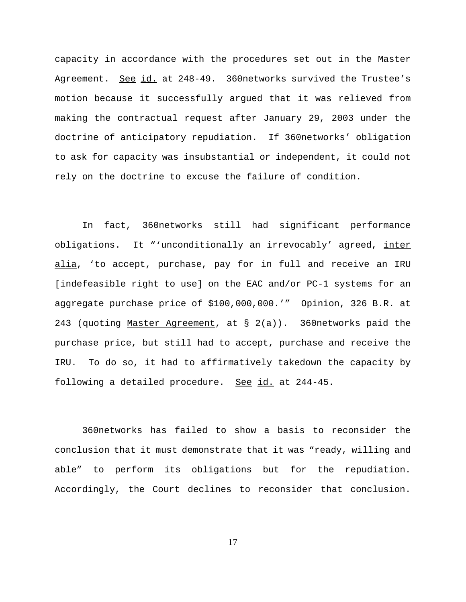capacity in accordance with the procedures set out in the Master Agreement. See id. at 248-49. 360networks survived the Trustee's motion because it successfully argued that it was relieved from making the contractual request after January 29, 2003 under the doctrine of anticipatory repudiation. If 360networks' obligation to ask for capacity was insubstantial or independent, it could not rely on the doctrine to excuse the failure of condition.

In fact, 360networks still had significant performance obligations. It "'unconditionally an irrevocably' agreed, inter alia, 'to accept, purchase, pay for in full and receive an IRU [indefeasible right to use] on the EAC and/or PC-1 systems for an aggregate purchase price of \$100,000,000.'" Opinion, 326 B.R. at 243 (quoting Master Agreement, at  $\S$  2(a)). 360networks paid the purchase price, but still had to accept, purchase and receive the IRU. To do so, it had to affirmatively takedown the capacity by following a detailed procedure. See id. at 244-45.

360networks has failed to show a basis to reconsider the conclusion that it must demonstrate that it was "ready, willing and able" to perform its obligations but for the repudiation. Accordingly, the Court declines to reconsider that conclusion.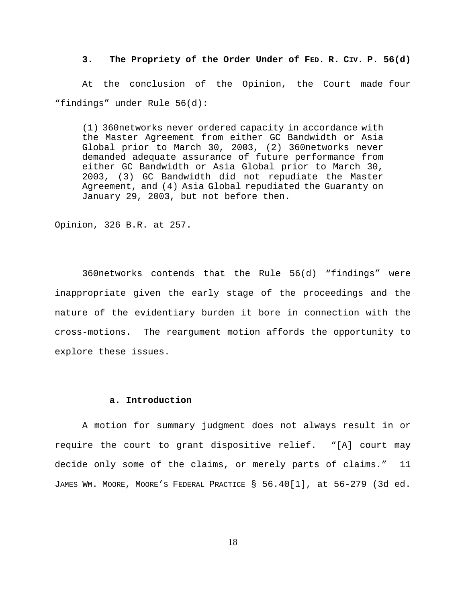**3. The Propriety of the Order Under of FED. R. CIV. P. 56(d)**

 At the conclusion of the Opinion, the Court made four "findings" under Rule 56(d):

(1) 360networks never ordered capacity in accordance with the Master Agreement from either GC Bandwidth or Asia Global prior to March 30, 2003, (2) 360networks never demanded adequate assurance of future performance from either GC Bandwidth or Asia Global prior to March 30, 2003, (3) GC Bandwidth did not repudiate the Master Agreement, and (4) Asia Global repudiated the Guaranty on January 29, 2003, but not before then.

Opinion, 326 B.R. at 257.

360networks contends that the Rule 56(d) "findings" were inappropriate given the early stage of the proceedings and the nature of the evidentiary burden it bore in connection with the cross-motions. The reargument motion affords the opportunity to explore these issues.

## **a. Introduction**

A motion for summary judgment does not always result in or require the court to grant dispositive relief. "[A] court may decide only some of the claims, or merely parts of claims." 11 JAMES WM. MOORE, MOORE'S FEDERAL PRACTICE § 56.40[1], at 56-279 (3d ed.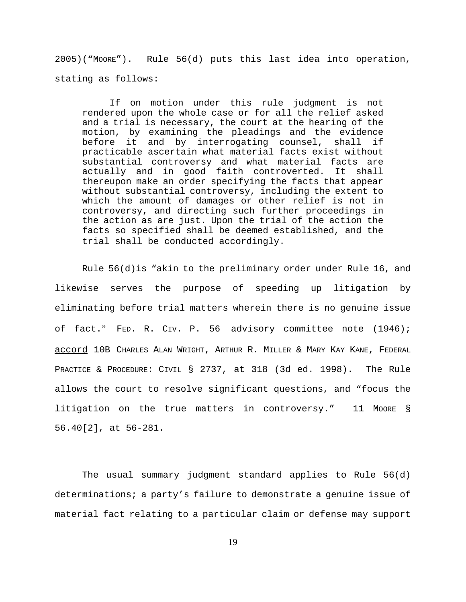2005)("MOORE"). Rule 56(d) puts this last idea into operation, stating as follows:

If on motion under this rule judgment is not rendered upon the whole case or for all the relief asked and a trial is necessary, the court at the hearing of the motion, by examining the pleadings and the evidence before it and by interrogating counsel, shall if practicable ascertain what material facts exist without substantial controversy and what material facts are actually and in good faith controverted. It shall thereupon make an order specifying the facts that appear without substantial controversy, including the extent to which the amount of damages or other relief is not in controversy, and directing such further proceedings in the action as are just. Upon the trial of the action the facts so specified shall be deemed established, and the trial shall be conducted accordingly.

Rule  $56(d)$  is "akin to the preliminary order under Rule 16, and likewise serves the purpose of speeding up litigation by eliminating before trial matters wherein there is no genuine issue of fact." FED. R. CIV. P. 56 advisory committee note (1946); accord 10B CHARLES ALAN WRIGHT, ARTHUR R. MILLER & MARY KAY KANE, FEDERAL PRACTICE & PROCEDURE: CIVIL § 2737, at 318 (3d ed. 1998). The Rule allows the court to resolve significant questions, and "focus the litigation on the true matters in controversy." 11 Moore § 56.40[2], at 56-281.

The usual summary judgment standard applies to Rule 56(d) determinations; a party's failure to demonstrate a genuine issue of material fact relating to a particular claim or defense may support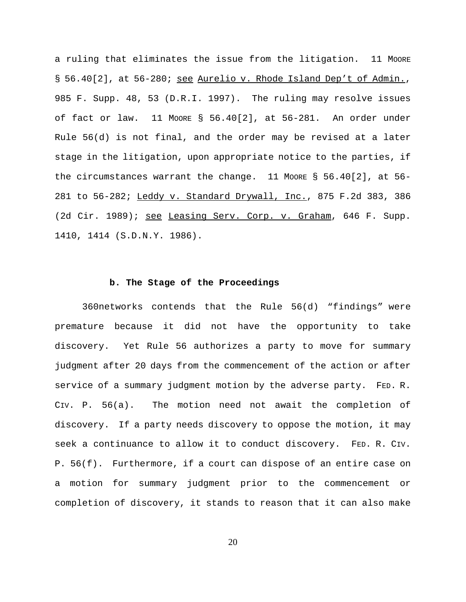a ruling that eliminates the issue from the litigation. 11 MOORE § 56.40[2], at 56-280; see Aurelio v. Rhode Island Dep't of Admin., 985 F. Supp. 48, 53 (D.R.I. 1997). The ruling may resolve issues of fact or law. 11 MOORE § 56.40[2], at 56-281. An order under Rule 56(d) is not final, and the order may be revised at a later stage in the litigation, upon appropriate notice to the parties, if the circumstances warrant the change. 11 Moore § 56.40[2], at 56-281 to 56-282; Leddy v. Standard Drywall, Inc., 875 F.2d 383, 386 (2d Cir. 1989); see Leasing Serv. Corp. v. Graham, 646 F. Supp. 1410, 1414 (S.D.N.Y. 1986).

#### **b. The Stage of the Proceedings**

 360networks contends that the Rule 56(d) "findings" were premature because it did not have the opportunity to take discovery. Yet Rule 56 authorizes a party to move for summary judgment after 20 days from the commencement of the action or after service of a summary judgment motion by the adverse party. FED. R. CIV. P. 56(a). The motion need not await the completion of discovery. If a party needs discovery to oppose the motion, it may seek a continuance to allow it to conduct discovery. FED. R. CIV. P. 56(f). Furthermore, if a court can dispose of an entire case on a motion for summary judgment prior to the commencement or completion of discovery, it stands to reason that it can also make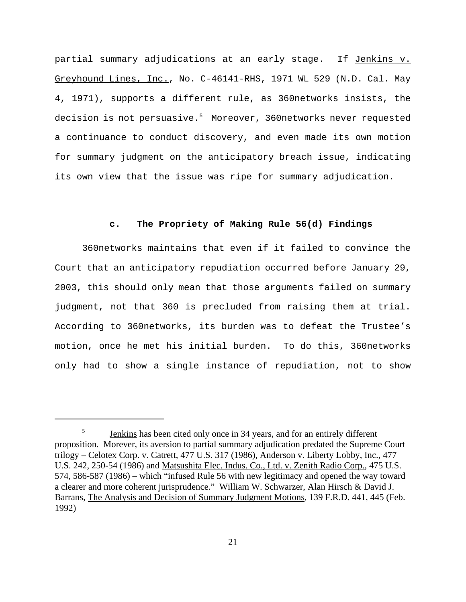partial summary adjudications at an early stage. If Jenkins v. Greyhound Lines, Inc., No. C-46141-RHS, 1971 WL 529 (N.D. Cal. May 4, 1971), supports a different rule, as 360networks insists, the decision is not persuasive. $^5\,$  Moreover, 360 ${\tt network}$ s never requested a continuance to conduct discovery, and even made its own motion for summary judgment on the anticipatory breach issue, indicating its own view that the issue was ripe for summary adjudication.

### **c. The Propriety of Making Rule 56(d) Findings**

360networks maintains that even if it failed to convince the Court that an anticipatory repudiation occurred before January 29, 2003, this should only mean that those arguments failed on summary judgment, not that 360 is precluded from raising them at trial. According to 360networks, its burden was to defeat the Trustee's motion, once he met his initial burden. To do this, 360networks only had to show a single instance of repudiation, not to show

<sup>&</sup>lt;sup>5</sup> Jenkins has been cited only once in 34 years, and for an entirely different proposition. Morever, its aversion to partial summary adjudication predated the Supreme Court trilogy – Celotex Corp. v. Catrett, 477 U.S. 317 (1986), Anderson v. Liberty Lobby, Inc., 477 U.S. 242, 250-54 (1986) and Matsushita Elec. Indus. Co., Ltd. v. Zenith Radio Corp., 475 U.S. 574, 586-587 (1986) – which "infused Rule 56 with new legitimacy and opened the way toward a clearer and more coherent jurisprudence." William W. Schwarzer, Alan Hirsch & David J. Barrans, The Analysis and Decision of Summary Judgment Motions, 139 F.R.D. 441, 445 (Feb. 1992)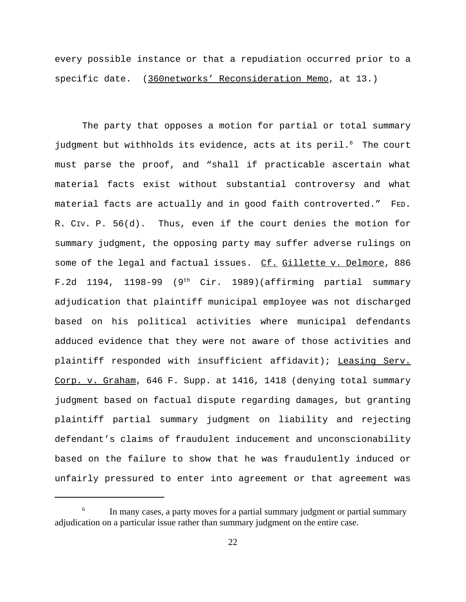every possible instance or that a repudiation occurred prior to a specific date. (360networks' Reconsideration Memo, at 13.)

The party that opposes a motion for partial or total summary judgment but withholds its evidence, acts at its peril.<sup>6</sup> The court must parse the proof, and "shall if practicable ascertain what material facts exist without substantial controversy and what material facts are actually and in good faith controverted." FED. R. CIV. P. 56(d). Thus, even if the court denies the motion for summary judgment, the opposing party may suffer adverse rulings on some of the legal and factual issues. Cf. Gillette v. Delmore, 886 F.2d 1194, 1198-99 (9<sup>th</sup> Cir. 1989)(affirming partial summary adjudication that plaintiff municipal employee was not discharged based on his political activities where municipal defendants adduced evidence that they were not aware of those activities and plaintiff responded with insufficient affidavit); Leasing Serv. Corp. v. Graham, 646 F. Supp. at 1416, 1418 (denying total summary judgment based on factual dispute regarding damages, but granting plaintiff partial summary judgment on liability and rejecting defendant's claims of fraudulent inducement and unconscionability based on the failure to show that he was fraudulently induced or unfairly pressured to enter into agreement or that agreement was

<sup>&</sup>lt;sup>6</sup> In many cases, a party moves for a partial summary judgment or partial summary adjudication on a particular issue rather than summary judgment on the entire case.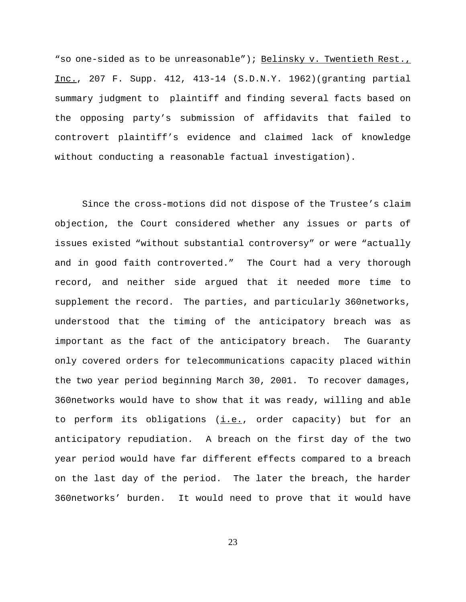"so one-sided as to be unreasonable"); Belinsky v. Twentieth Rest., Inc., 207 F. Supp. 412, 413-14 (S.D.N.Y. 1962)(granting partial summary judgment to plaintiff and finding several facts based on the opposing party's submission of affidavits that failed to controvert plaintiff's evidence and claimed lack of knowledge without conducting a reasonable factual investigation).

Since the cross-motions did not dispose of the Trustee's claim objection, the Court considered whether any issues or parts of issues existed "without substantial controversy" or were "actually and in good faith controverted." The Court had a very thorough record, and neither side argued that it needed more time to supplement the record. The parties, and particularly 360networks, understood that the timing of the anticipatory breach was as important as the fact of the anticipatory breach. The Guaranty only covered orders for telecommunications capacity placed within the two year period beginning March 30, 2001. To recover damages, 360networks would have to show that it was ready, willing and able to perform its obligations  $(i.e.,$  order capacity) but for an anticipatory repudiation. A breach on the first day of the two year period would have far different effects compared to a breach on the last day of the period. The later the breach, the harder 360networks' burden. It would need to prove that it would have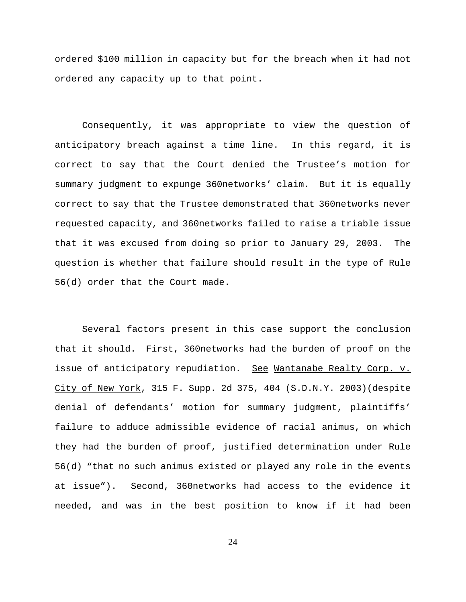ordered \$100 million in capacity but for the breach when it had not ordered any capacity up to that point.

Consequently, it was appropriate to view the question of anticipatory breach against a time line. In this regard, it is correct to say that the Court denied the Trustee's motion for summary judgment to expunge 360networks' claim. But it is equally correct to say that the Trustee demonstrated that 360networks never requested capacity, and 360networks failed to raise a triable issue that it was excused from doing so prior to January 29, 2003. The question is whether that failure should result in the type of Rule 56(d) order that the Court made.

Several factors present in this case support the conclusion that it should. First, 360networks had the burden of proof on the issue of anticipatory repudiation. See Wantanabe Realty Corp. v. City of New York, 315 F. Supp. 2d 375, 404 (S.D.N.Y. 2003)(despite denial of defendants' motion for summary judgment, plaintiffs' failure to adduce admissible evidence of racial animus, on which they had the burden of proof, justified determination under Rule 56(d) "that no such animus existed or played any role in the events at issue"). Second, 360networks had access to the evidence it needed, and was in the best position to know if it had been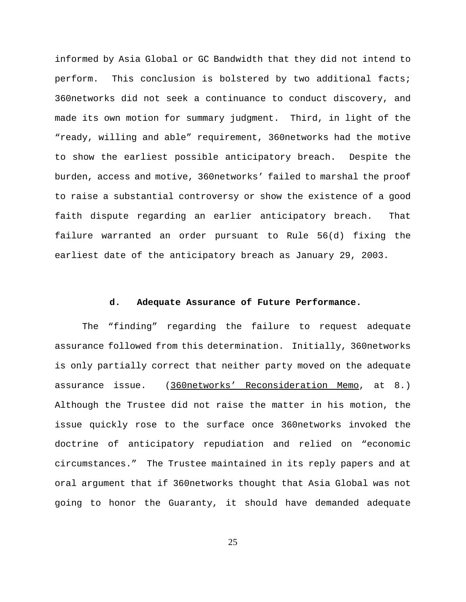informed by Asia Global or GC Bandwidth that they did not intend to perform. This conclusion is bolstered by two additional facts; 360networks did not seek a continuance to conduct discovery, and made its own motion for summary judgment. Third, in light of the "ready, willing and able" requirement, 360networks had the motive to show the earliest possible anticipatory breach. Despite the burden, access and motive, 360networks' failed to marshal the proof to raise a substantial controversy or show the existence of a good faith dispute regarding an earlier anticipatory breach. That failure warranted an order pursuant to Rule 56(d) fixing the earliest date of the anticipatory breach as January 29, 2003.

## **d. Adequate Assurance of Future Performance.**

The "finding" regarding the failure to request adequate assurance followed from this determination. Initially, 360networks is only partially correct that neither party moved on the adequate assurance issue. (360networks' Reconsideration Memo, at 8.) Although the Trustee did not raise the matter in his motion, the issue quickly rose to the surface once 360networks invoked the doctrine of anticipatory repudiation and relied on "economic circumstances." The Trustee maintained in its reply papers and at oral argument that if 360networks thought that Asia Global was not going to honor the Guaranty, it should have demanded adequate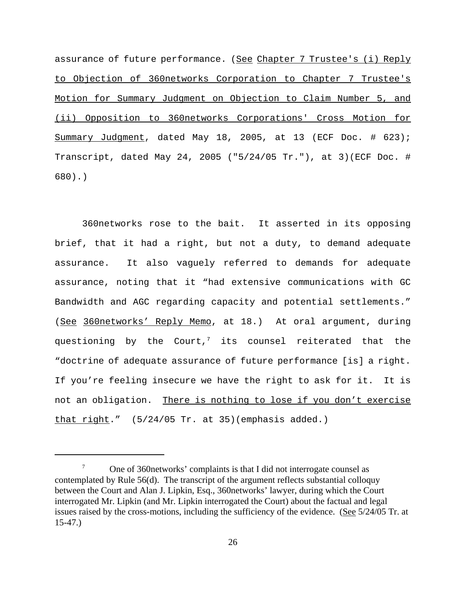assurance of future performance. (See Chapter 7 Trustee's (i) Reply to Objection of 360networks Corporation to Chapter 7 Trustee's Motion for Summary Judgment on Objection to Claim Number 5, and (ii) Opposition to 360networks Corporations' Cross Motion for Summary Judgment, dated May 18, 2005, at 13 (ECF Doc. # 623); Transcript, dated May 24, 2005 ("5/24/05 Tr."), at 3)(ECF Doc. # 680).)

360networks rose to the bait. It asserted in its opposing brief, that it had a right, but not a duty, to demand adequate assurance. It also vaguely referred to demands for adequate assurance, noting that it "had extensive communications with GC Bandwidth and AGC regarding capacity and potential settlements." (See 360networks' Reply Memo, at 18.) At oral argument, during questioning by the Court,<sup>7</sup> its counsel reiterated that the "doctrine of adequate assurance of future performance [is] a right. If you're feeling insecure we have the right to ask for it. It is not an obligation. There is nothing to lose if you don't exercise that right."  $(5/24/05$  Tr. at 35)(emphasis added.)

<sup>&</sup>lt;sup>7</sup> One of 360 networks' complaints is that I did not interrogate counsel as contemplated by Rule 56(d). The transcript of the argument reflects substantial colloquy between the Court and Alan J. Lipkin, Esq., 360networks' lawyer, during which the Court interrogated Mr. Lipkin (and Mr. Lipkin interrogated the Court) about the factual and legal issues raised by the cross-motions, including the sufficiency of the evidence. (See 5/24/05 Tr. at 15-47.)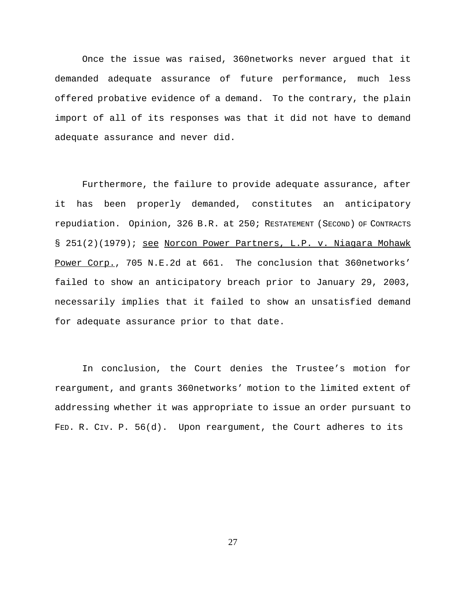Once the issue was raised, 360networks never argued that it demanded adequate assurance of future performance, much less offered probative evidence of a demand. To the contrary, the plain import of all of its responses was that it did not have to demand adequate assurance and never did.

Furthermore, the failure to provide adequate assurance, after it has been properly demanded, constitutes an anticipatory repudiation. Opinion, 326 B.R. at 250; RESTATEMENT (SECOND) OF CONTRACTS § 251(2)(1979); see Norcon Power Partners, L.P. v. Niagara Mohawk Power Corp., 705 N.E.2d at 661. The conclusion that 360networks' failed to show an anticipatory breach prior to January 29, 2003, necessarily implies that it failed to show an unsatisfied demand for adequate assurance prior to that date.

In conclusion, the Court denies the Trustee's motion for reargument, and grants 360networks' motion to the limited extent of addressing whether it was appropriate to issue an order pursuant to FED. R. CIV. P. 56(d). Upon reargument, the Court adheres to its